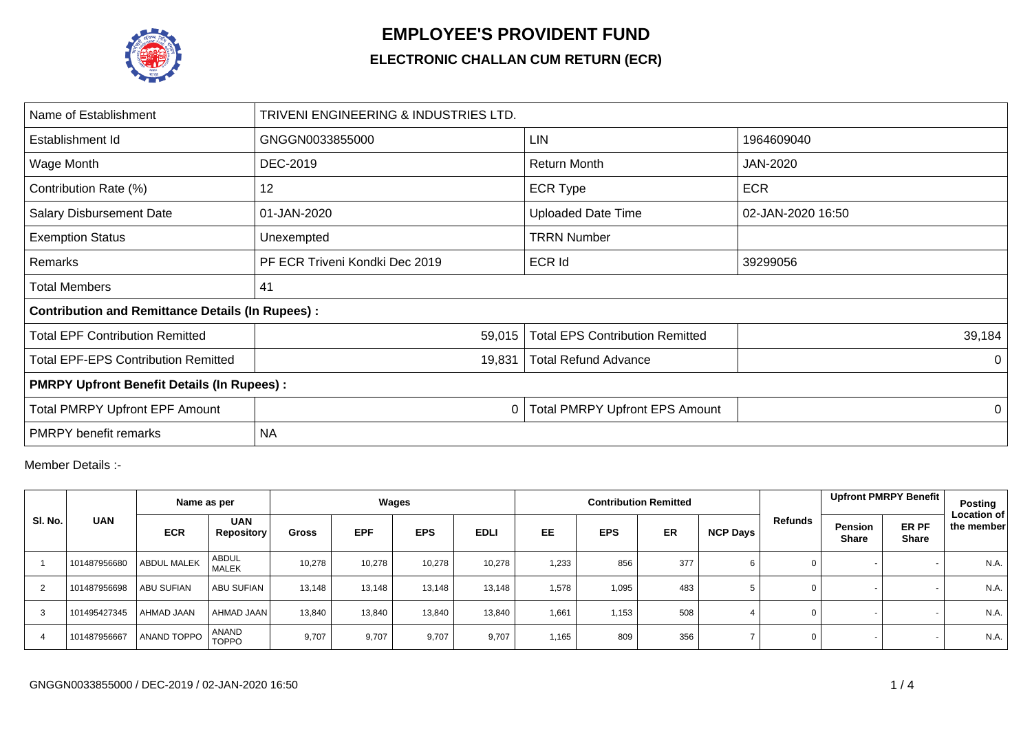

## **EMPLOYEE'S PROVIDENT FUND**

## **ELECTRONIC CHALLAN CUM RETURN (ECR)**

| Name of Establishment                                   | TRIVENI ENGINEERING & INDUSTRIES LTD. |                                        |                   |  |  |  |  |  |  |  |
|---------------------------------------------------------|---------------------------------------|----------------------------------------|-------------------|--|--|--|--|--|--|--|
| Establishment Id                                        | GNGGN0033855000                       | <b>LIN</b>                             | 1964609040        |  |  |  |  |  |  |  |
| Wage Month                                              | DEC-2019                              | <b>Return Month</b>                    | <b>JAN-2020</b>   |  |  |  |  |  |  |  |
| Contribution Rate (%)                                   | 12                                    | <b>ECR Type</b>                        | <b>ECR</b>        |  |  |  |  |  |  |  |
| <b>Salary Disbursement Date</b>                         | 01-JAN-2020                           | <b>Uploaded Date Time</b>              | 02-JAN-2020 16:50 |  |  |  |  |  |  |  |
| <b>Exemption Status</b>                                 | Unexempted                            | <b>TRRN Number</b>                     |                   |  |  |  |  |  |  |  |
| Remarks                                                 | PF ECR Triveni Kondki Dec 2019        | <b>ECR Id</b>                          | 39299056          |  |  |  |  |  |  |  |
| <b>Total Members</b>                                    | 41                                    |                                        |                   |  |  |  |  |  |  |  |
| <b>Contribution and Remittance Details (In Rupees):</b> |                                       |                                        |                   |  |  |  |  |  |  |  |
| <b>Total EPF Contribution Remitted</b>                  | 59,015                                | <b>Total EPS Contribution Remitted</b> | 39,184            |  |  |  |  |  |  |  |
| <b>Total EPF-EPS Contribution Remitted</b>              | 19,831                                | <b>Total Refund Advance</b>            | $\Omega$          |  |  |  |  |  |  |  |
| <b>PMRPY Upfront Benefit Details (In Rupees):</b>       |                                       |                                        |                   |  |  |  |  |  |  |  |
| <b>Total PMRPY Upfront EPF Amount</b>                   | 0                                     | <b>Total PMRPY Upfront EPS Amount</b>  | 0                 |  |  |  |  |  |  |  |
| <b>PMRPY</b> benefit remarks                            | <b>NA</b>                             |                                        |                   |  |  |  |  |  |  |  |

Member Details :-

|         |              | Name as per        |                                 | Wages        |            |            |             |           |            | <b>Contribution Remitted</b> |          |             | Upfront PMRPY Benefit                                   | Posting                          |
|---------|--------------|--------------------|---------------------------------|--------------|------------|------------|-------------|-----------|------------|------------------------------|----------|-------------|---------------------------------------------------------|----------------------------------|
| SI. No. | <b>UAN</b>   | <b>ECR</b>         | <b>UAN</b><br><b>Repository</b> | <b>Gross</b> | <b>EPF</b> | <b>EPS</b> | <b>EDLI</b> | <b>EE</b> | <b>EPS</b> | <b>ER</b>                    | NCP Days | Refunds     | ER PF<br><b>Pension</b><br><b>Share</b><br><b>Share</b> | <b>Location of</b><br>the member |
|         | 101487956680 | <b>ABDUL MALEK</b> | <b>ABDUL</b><br><b>MALEK</b>    | 10,278       | 10,278     | 10,278     | 10,278      | 1,233     | 856        | 377                          |          | 0           |                                                         | N.A.                             |
|         | 101487956698 | <b>ABU SUFIAN</b>  | <b>ABU SUFIAN</b>               | 13,148       | 13,148     | 13,148     | 13,148      | 1,578     | 1,095      | 483                          |          | $\mathbf 0$ |                                                         | N.A.                             |
| 3       | 101495427345 | AHMAD JAAN         | AHMAD JAAN                      | 13,840       | 13,840     | 13,840     | 13,840      | 1,661     | 1,153      | 508                          |          | 0           |                                                         | N.A.                             |
|         | 101487956667 | <b>ANAND TOPPO</b> | <b>ANAND</b><br><b>TOPPO</b>    | 9,707        | 9,707      | 9,707      | 9,707       | 1,165     | 809        | 356                          |          | $\mathbf 0$ |                                                         | N.A.                             |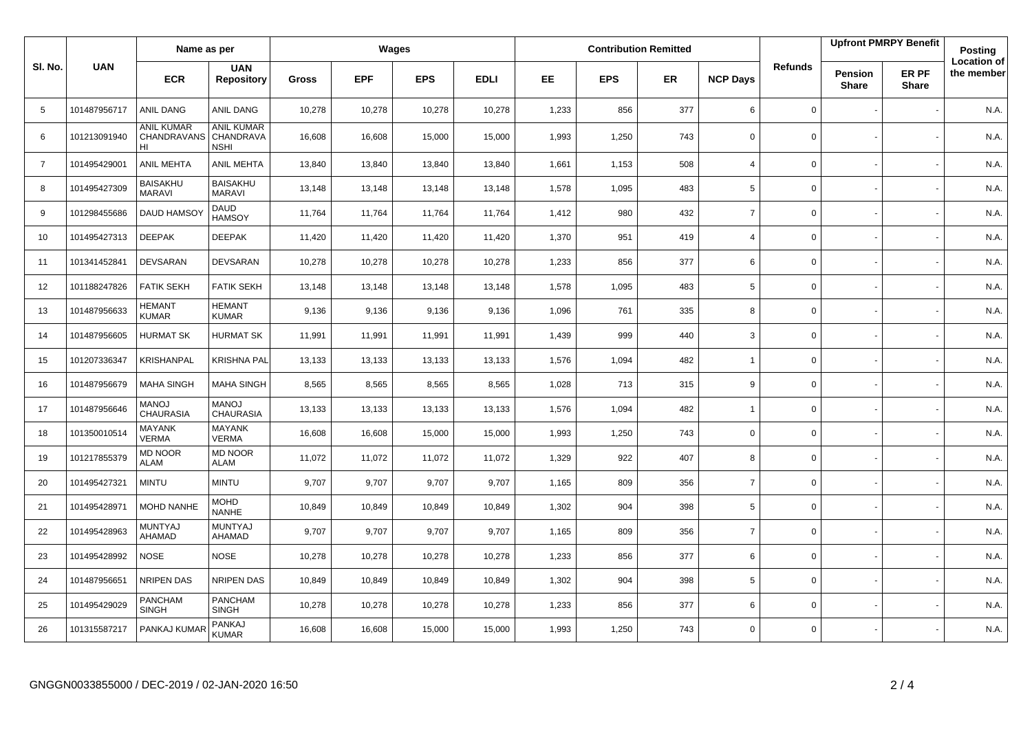|                |              | Name as per                            |                                               | Wages        |            |            |             |       |            | <b>Contribution Remitted</b> |                 |                | <b>Upfront PMRPY Benefit</b> |                       | <b>Posting</b>                   |
|----------------|--------------|----------------------------------------|-----------------------------------------------|--------------|------------|------------|-------------|-------|------------|------------------------------|-----------------|----------------|------------------------------|-----------------------|----------------------------------|
| SI. No.        | <b>UAN</b>   | <b>ECR</b>                             | <b>UAN</b><br><b>Repository</b>               | <b>Gross</b> | <b>EPF</b> | <b>EPS</b> | <b>EDLI</b> | EE    | <b>EPS</b> | ER                           | <b>NCP Days</b> | <b>Refunds</b> | Pension<br><b>Share</b>      | ER PF<br><b>Share</b> | <b>Location of</b><br>the member |
| 5              | 101487956717 | ANIL DANG                              | ANIL DANG                                     | 10,278       | 10,278     | 10,278     | 10,278      | 1,233 | 856        | 377                          | 6               | 0              |                              |                       | N.A.                             |
| 6              | 101213091940 | <b>ANIL KUMAR</b><br>CHANDRAVANS<br>HI | <b>ANIL KUMAR</b><br>CHANDRAVA<br><b>NSHI</b> | 16,608       | 16,608     | 15,000     | 15,000      | 1,993 | 1,250      | 743                          | $\mathbf 0$     | $\mathbf 0$    |                              |                       | N.A.                             |
| $\overline{7}$ | 101495429001 | <b>ANIL MEHTA</b>                      | <b>ANIL MEHTA</b>                             | 13,840       | 13,840     | 13,840     | 13,840      | 1,661 | 1,153      | 508                          | $\overline{4}$  | 0              |                              |                       | N.A.                             |
| 8              | 101495427309 | <b>BAISAKHU</b><br>MARAVI              | <b>BAISAKHU</b><br><b>MARAVI</b>              | 13,148       | 13,148     | 13,148     | 13,148      | 1,578 | 1,095      | 483                          | 5               | 0              |                              |                       | N.A.                             |
| 9              | 101298455686 | DAUD HAMSO'                            | <b>DAUD</b><br><b>HAMSOY</b>                  | 11,764       | 11,764     | 11,764     | 11,764      | 1,412 | 980        | 432                          | $\overline{7}$  | 0              |                              |                       | N.A.                             |
| 10             | 101495427313 | <b>DEEPAK</b>                          | <b>DEEPAK</b>                                 | 11,420       | 11,420     | 11,420     | 11,420      | 1,370 | 951        | 419                          | $\overline{4}$  | 0              |                              |                       | N.A.                             |
| 11             | 101341452841 | <b>DEVSARAN</b>                        | <b>DEVSARAN</b>                               | 10,278       | 10,278     | 10,278     | 10,278      | 1,233 | 856        | 377                          | 6               | 0              |                              |                       | N.A.                             |
| 12             | 101188247826 | <b>FATIK SEKH</b>                      | <b>FATIK SEKH</b>                             | 13,148       | 13,148     | 13,148     | 13,148      | 1,578 | 1,095      | 483                          | 5               | 0              |                              |                       | N.A.                             |
| 13             | 101487956633 | <b>HEMANT</b><br><b>KUMAR</b>          | <b>HEMANT</b><br><b>KUMAR</b>                 | 9,136        | 9,136      | 9,136      | 9,136       | 1,096 | 761        | 335                          | 8               | 0              |                              |                       | N.A.                             |
| 14             | 101487956605 | <b>HURMAT SK</b>                       | <b>HURMAT SK</b>                              | 11,991       | 11,991     | 11,991     | 11,991      | 1,439 | 999        | 440                          | 3               | 0              |                              |                       | N.A.                             |
| 15             | 101207336347 | <b>KRISHANPAL</b>                      | <b>KRISHNA PAL</b>                            | 13,133       | 13,133     | 13,133     | 13,133      | 1,576 | 1,094      | 482                          | $\overline{1}$  | 0              |                              |                       | N.A.                             |
| 16             | 101487956679 | <b>MAHA SINGH</b>                      | <b>MAHA SINGH</b>                             | 8,565        | 8,565      | 8,565      | 8,565       | 1,028 | 713        | 315                          | 9               | 0              |                              |                       | N.A.                             |
| 17             | 101487956646 | <b>MANOJ</b><br>CHAURASIA              | <b>MANOJ</b><br><b>CHAURASIA</b>              | 13,133       | 13,133     | 13,133     | 13,133      | 1,576 | 1,094      | 482                          | $\overline{1}$  | 0              |                              |                       | N.A.                             |
| 18             | 101350010514 | <b>MAYANK</b><br><b>VERMA</b>          | <b>MAYANK</b><br><b>VERMA</b>                 | 16,608       | 16,608     | 15,000     | 15,000      | 1,993 | 1,250      | 743                          | $\mathbf 0$     | 0              |                              |                       | N.A.                             |
| 19             | 101217855379 | <b>MD NOOR</b><br><b>ALAM</b>          | <b>MD NOOR</b><br><b>ALAM</b>                 | 11,072       | 11,072     | 11,072     | 11,072      | 1,329 | 922        | 407                          | 8               | 0              |                              |                       | N.A.                             |
| 20             | 101495427321 | <b>MINTU</b>                           | <b>MINTU</b>                                  | 9,707        | 9,707      | 9,707      | 9,707       | 1,165 | 809        | 356                          | $\overline{7}$  | 0              |                              |                       | N.A.                             |
| 21             | 101495428971 | MOHD NANHE                             | <b>MOHD</b><br><b>NANHE</b>                   | 10,849       | 10,849     | 10,849     | 10,849      | 1,302 | 904        | 398                          | 5               | 0              |                              |                       | N.A.                             |
| 22             | 101495428963 | MUNTYAJ<br>AHAMAD                      | <b>MUNTYAJ</b><br>AHAMAD                      | 9,707        | 9,707      | 9,707      | 9,707       | 1,165 | 809        | 356                          | $\overline{7}$  | 0              |                              |                       | N.A.                             |
| 23             | 101495428992 | <b>NOSE</b>                            | <b>NOSE</b>                                   | 10,278       | 10,278     | 10,278     | 10,278      | 1,233 | 856        | 377                          | 6               | 0              |                              |                       | N.A.                             |
| 24             | 101487956651 | NRIPEN DAS                             | NRIPEN DAS                                    | 10,849       | 10,849     | 10,849     | 10,849      | 1,302 | 904        | 398                          | 5               | 0              |                              |                       | N.A.                             |
| 25             | 101495429029 | PANCHAM<br><b>SINGH</b>                | <b>PANCHAM</b><br><b>SINGH</b>                | 10,278       | 10,278     | 10,278     | 10,278      | 1,233 | 856        | 377                          | 6               | 0              |                              |                       | N.A.                             |
| 26             | 101315587217 | PANKAJ KUMAR                           | PANKAJ<br><b>KUMAR</b>                        | 16,608       | 16,608     | 15,000     | 15,000      | 1,993 | 1,250      | 743                          | $\Omega$        | 0              |                              |                       | N.A.                             |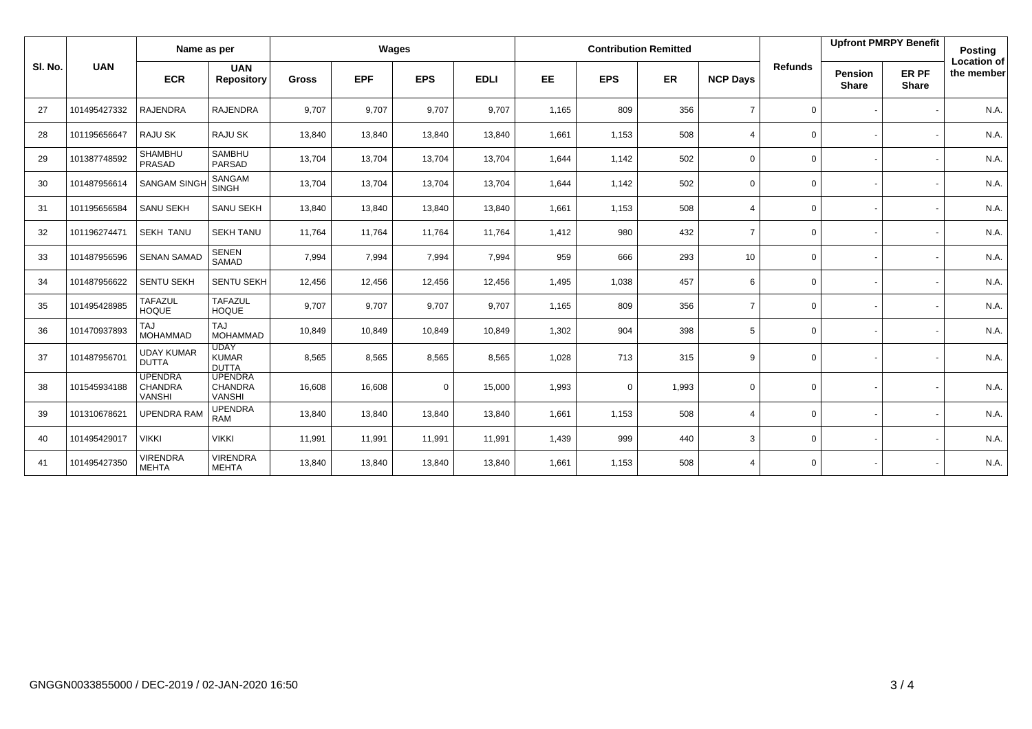|         | <b>UAN</b>   | Name as per                                |                                             | Wages        |            |            |             |           |             | <b>Contribution Remitted</b> |                 |                | <b>Upfront PMRPY Benefit</b>   |                       | <b>Posting</b>                   |
|---------|--------------|--------------------------------------------|---------------------------------------------|--------------|------------|------------|-------------|-----------|-------------|------------------------------|-----------------|----------------|--------------------------------|-----------------------|----------------------------------|
| SI. No. |              | <b>ECR</b>                                 | <b>UAN</b><br><b>Repository</b>             | <b>Gross</b> | <b>EPF</b> | <b>EPS</b> | <b>EDLI</b> | <b>EE</b> | <b>EPS</b>  | <b>ER</b>                    | <b>NCP Days</b> | <b>Refunds</b> | <b>Pension</b><br><b>Share</b> | ER PF<br><b>Share</b> | <b>Location of</b><br>the member |
| 27      | 101495427332 | <b>RAJENDRA</b>                            | <b>RAJENDRA</b>                             | 9,707        | 9,707      | 9,707      | 9,707       | 1,165     | 809         | 356                          | $\overline{7}$  | $\mathbf 0$    |                                |                       | N.A.                             |
| 28      | 101195656647 | RAJU SK                                    | <b>RAJU SK</b>                              | 13,840       | 13,840     | 13,840     | 13,840      | 1,661     | 1,153       | 508                          | $\overline{4}$  | $\mathbf 0$    |                                |                       | N.A.                             |
| 29      | 101387748592 | SHAMBHU<br>PRASAD                          | <b>SAMBHU</b><br>PARSAD                     | 13,704       | 13,704     | 13,704     | 13,704      | 1,644     | 1,142       | 502                          | $\Omega$        | $\mathbf 0$    |                                |                       | N.A.                             |
| 30      | 101487956614 | <b>SANGAM SINGH</b>                        | SANGAM<br><b>SINGH</b>                      | 13,704       | 13,704     | 13,704     | 13,704      | 1,644     | 1,142       | 502                          | $\Omega$        | $\mathbf 0$    |                                |                       | N.A.                             |
| 31      | 101195656584 | SANU SEKH                                  | <b>SANU SEKH</b>                            | 13,840       | 13,840     | 13,840     | 13,840      | 1,661     | 1,153       | 508                          | $\Delta$        | $\mathbf 0$    |                                |                       | N.A.                             |
| 32      | 101196274471 | <b>SEKH TANU</b>                           | <b>SEKH TANU</b>                            | 11,764       | 11,764     | 11,764     | 11,764      | 1,412     | 980         | 432                          | $\overline{7}$  | $\mathbf 0$    |                                |                       | N.A.                             |
| 33      | 101487956596 | <b>SENAN SAMAD</b>                         | <b>SENEN</b><br>SAMAD                       | 7,994        | 7,994      | 7,994      | 7,994       | 959       | 666         | 293                          | 10 <sup>1</sup> | $\mathbf 0$    |                                |                       | N.A.                             |
| 34      | 101487956622 | <b>SENTU SEKH</b>                          | SENTU SEKH                                  | 12,456       | 12,456     | 12,456     | 12,456      | 1,495     | 1,038       | 457                          | 6               | $\mathbf 0$    |                                |                       | N.A.                             |
| 35      | 101495428985 | <b>TAFAZUL</b><br><b>HOQUE</b>             | <b>TAFAZUL</b><br><b>HOQUE</b>              | 9,707        | 9,707      | 9,707      | 9,707       | 1,165     | 809         | 356                          | $\overline{7}$  | $\mathbf 0$    |                                |                       | N.A.                             |
| 36      | 101470937893 | <b>TAJ</b><br><b>MOHAMMAD</b>              | <b>TAJ</b><br><b>MOHAMMAD</b>               | 10,849       | 10,849     | 10,849     | 10,849      | 1,302     | 904         | 398                          | 5               | $\mathbf 0$    |                                |                       | N.A.                             |
| 37      | 101487956701 | <b>UDAY KUMAR</b><br><b>DUTTA</b>          | <b>UDAY</b><br><b>KUMAR</b><br><b>DUTTA</b> | 8,565        | 8,565      | 8,565      | 8,565       | 1,028     | 713         | 315                          | 9               | $\mathbf 0$    |                                |                       | N.A.                             |
| 38      | 101545934188 | <b>UPENDRA</b><br><b>CHANDRA</b><br>VANSHI | <b>UPENDRA</b><br>CHANDRA<br><b>VANSHI</b>  | 16,608       | 16,608     | 0          | 15,000      | 1,993     | $\mathbf 0$ | 1,993                        | $\mathbf 0$     | $\mathbf 0$    |                                |                       | N.A.                             |
| 39      | 101310678621 | <b>UPENDRA RAM</b>                         | <b>UPENDRA</b><br>RAM                       | 13,840       | 13,840     | 13,840     | 13,840      | 1,661     | 1,153       | 508                          | 4               | $\mathbf{0}$   |                                |                       | N.A.                             |
| 40      | 101495429017 | <b>VIKKI</b>                               | <b>VIKKI</b>                                | 11,991       | 11,991     | 11,991     | 11,991      | 1,439     | 999         | 440                          | 3               | $\mathbf 0$    |                                |                       | N.A.                             |
| 41      | 101495427350 | <b>VIRENDRA</b><br><b>MEHTA</b>            | <b>VIRENDRA</b><br><b>MEHTA</b>             | 13,840       | 13,840     | 13,840     | 13,840      | 1,661     | 1,153       | 508                          | 4               | $\mathbf 0$    |                                |                       | N.A.                             |